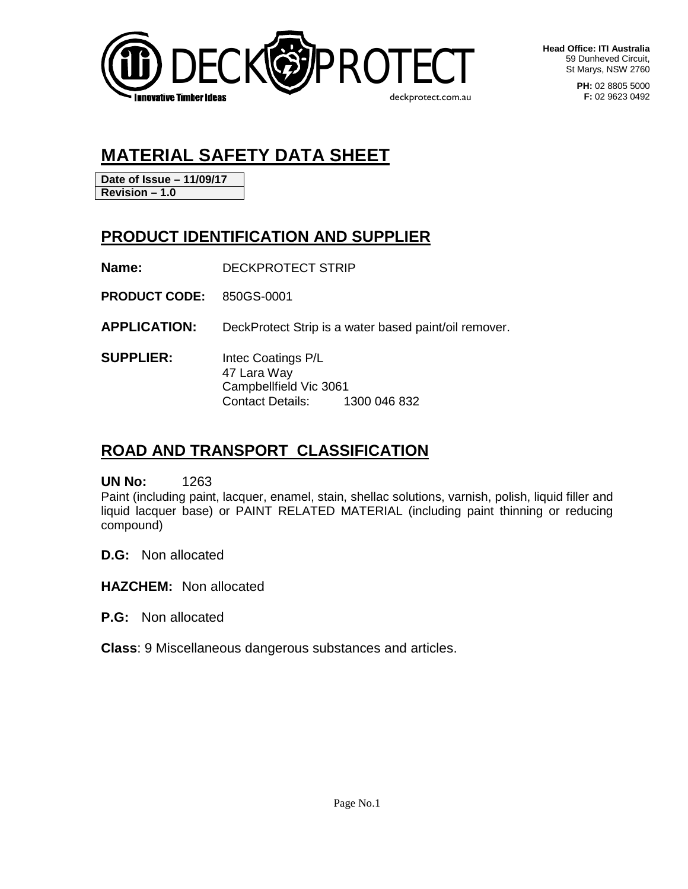

**Head Office: ITI Australia** 59 Dunheved Circuit, St Marys, NSW 2760

> **PH:** 02 8805 5000 **F:** 02 9623 0492

# **MATERIAL SAFETY DATA SHEET**

**Date of Issue – 11/09/17 Revision – 1.0**

## **PRODUCT IDENTIFICATION AND SUPPLIER**

**Name:** DECKPROTECT STRIP

**PRODUCT CODE:** 850GS-0001

**APPLICATION:** DeckProtect Strip is a water based paint/oil remover.

**SUPPLIER:** Intec Coatings P/L 47 Lara Way Campbellfield Vic 3061 Contact Details: 1300 046 832

## **ROAD AND TRANSPORT CLASSIFICATION**

**UN No:** 1263

Paint (including paint, lacquer, enamel, stain, shellac solutions, varnish, polish, liquid filler and liquid lacquer base) or PAINT RELATED MATERIAL (including paint thinning or reducing compound)

**D.G:** Non allocated

**HAZCHEM:** Non allocated

**P.G:** Non allocated

**Class**: 9 Miscellaneous dangerous substances and articles.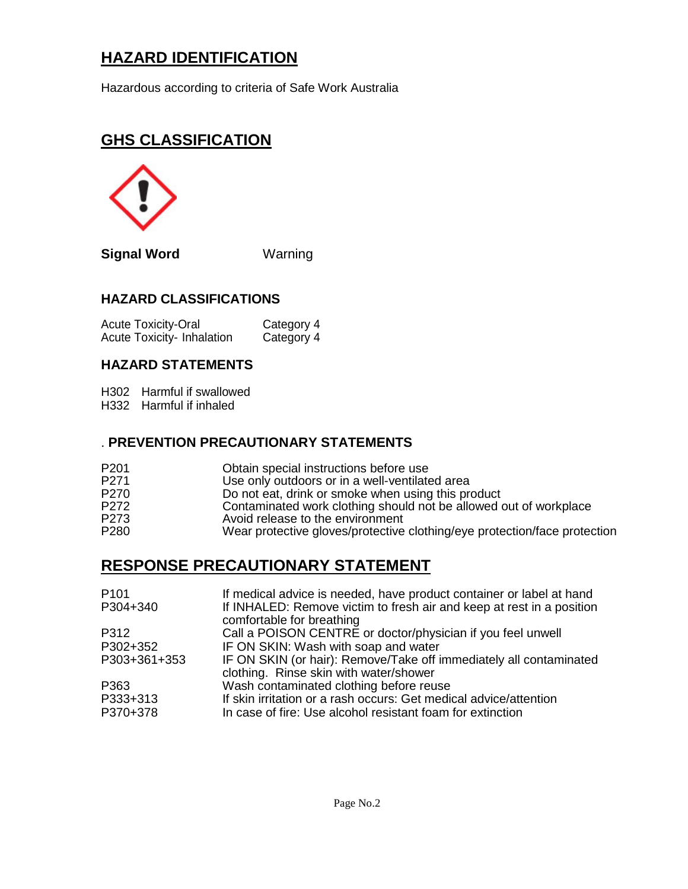## **HAZARD IDENTIFICATION**

Hazardous according to criteria of Safe Work Australia

## **GHS CLASSIFICATION**



**Signal Word** Warning

#### **HAZARD CLASSIFICATIONS**

Acute Toxicity-Oral **Category 4**<br>Acute Toxicity- Inhalation Category 4 Acute Toxicity- Inhalation

### **HAZARD STATEMENTS**

H302 Harmful if swallowed

H332 Harmful if inhaled

#### . **PREVENTION PRECAUTIONARY STATEMENTS**

| P <sub>201</sub> | Obtain special instructions before use                                    |
|------------------|---------------------------------------------------------------------------|
| P271             | Use only outdoors or in a well-ventilated area                            |
| P <sub>270</sub> | Do not eat, drink or smoke when using this product                        |
| P272             | Contaminated work clothing should not be allowed out of workplace         |
| P273             | Avoid release to the environment                                          |
| P <sub>280</sub> | Wear protective gloves/protective clothing/eye protection/face protection |

## **RESPONSE PRECAUTIONARY STATEMENT**

| P <sub>101</sub>     | If medical advice is needed, have product container or label at hand                                                            |
|----------------------|---------------------------------------------------------------------------------------------------------------------------------|
| P304+340             | If INHALED: Remove victim to fresh air and keep at rest in a position<br>comfortable for breathing                              |
| P312                 | Call a POISON CENTRE or doctor/physician if you feel unwell                                                                     |
| P302+352             | IF ON SKIN: Wash with soap and water                                                                                            |
| P303+361+353         | IF ON SKIN (or hair): Remove/Take off immediately all contaminated<br>clothing. Rinse skin with water/shower                    |
| P363                 | Wash contaminated clothing before reuse                                                                                         |
| P333+313<br>P370+378 | If skin irritation or a rash occurs: Get medical advice/attention<br>In case of fire: Use alcohol resistant foam for extinction |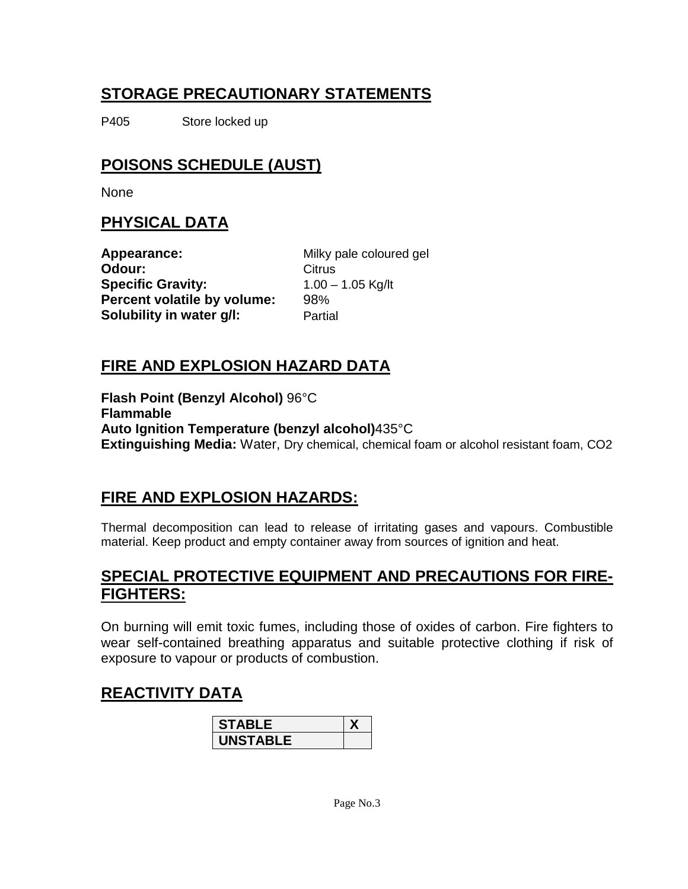## **STORAGE PRECAUTIONARY STATEMENTS**

P405 Store locked up

## **POISONS SCHEDULE (AUST)**

None

## **PHYSICAL DATA**

**Appearance:** Milky pale coloured gel **Odour:** Citrus **Specific Gravity:** 1.00 – 1.05 Kg/lt **Percent volatile by volume:** 98% **Solubility in water g/l:** Partial

## **FIRE AND EXPLOSION HAZARD DATA**

**Flash Point (Benzyl Alcohol)** 96°C **Flammable Auto Ignition Temperature (benzyl alcohol)**435°C **Extinguishing Media:** Water, Dry chemical, chemical foam or alcohol resistant foam, CO2

## **FIRE AND EXPLOSION HAZARDS:**

Thermal decomposition can lead to release of irritating gases and vapours. Combustible material. Keep product and empty container away from sources of ignition and heat.

## **SPECIAL PROTECTIVE EQUIPMENT AND PRECAUTIONS FOR FIRE-FIGHTERS:**

On burning will emit toxic fumes, including those of oxides of carbon. Fire fighters to wear self-contained breathing apparatus and suitable protective clothing if risk of exposure to vapour or products of combustion.

## **REACTIVITY DATA**

| <b>STABLE</b> |  |
|---------------|--|
| UNSTABLE      |  |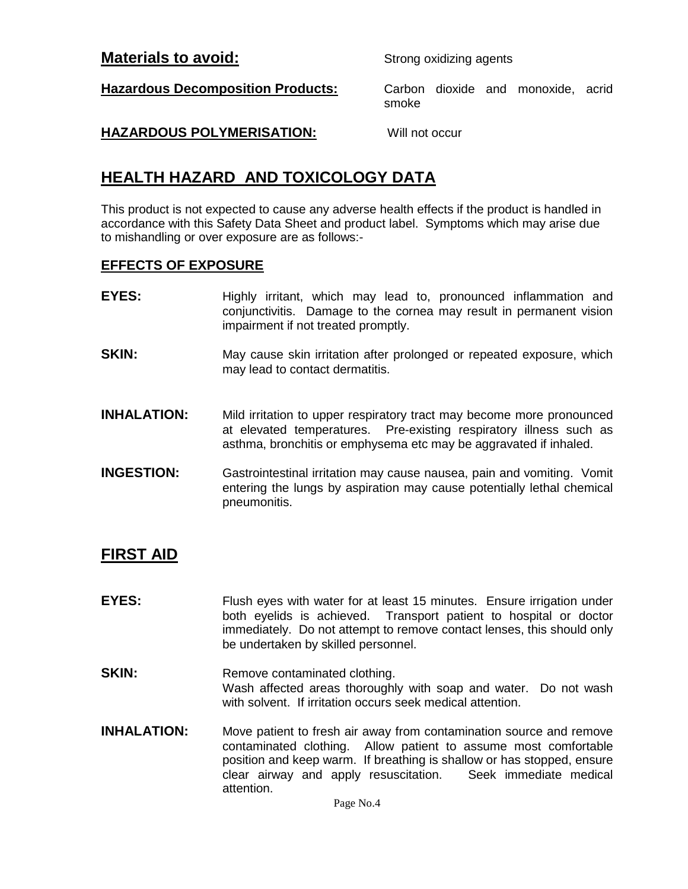#### **Materials to avoid:** Strong oxidizing agents

**Hazardous Decomposition Products:** Carbon dioxide and monoxide, acrid

smoke

#### **HAZARDOUS POLYMERISATION:** Will not occur

## **HEALTH HAZARD AND TOXICOLOGY DATA**

This product is not expected to cause any adverse health effects if the product is handled in accordance with this Safety Data Sheet and product label. Symptoms which may arise due to mishandling or over exposure are as follows:-

#### **EFFECTS OF EXPOSURE**

- **EYES:** Highly irritant, which may lead to, pronounced inflammation and conjunctivitis. Damage to the cornea may result in permanent vision impairment if not treated promptly.
- **SKIN:** May cause skin irritation after prolonged or repeated exposure, which may lead to contact dermatitis.
- **INHALATION:** Mild irritation to upper respiratory tract may become more pronounced<br>at elevated temperatures. Pre-existing respiratory illness such as Pre-existing respiratory illness such as asthma, bronchitis or emphysema etc may be aggravated if inhaled.
- **INGESTION:** Gastrointestinal irritation may cause nausea, pain and vomiting. Vomit entering the lungs by aspiration may cause potentially lethal chemical pneumonitis.

## **FIRST AID**

- **EYES:** Flush eyes with water for at least 15 minutes. Ensure irrigation under both eyelids is achieved. Transport patient to hospital or doctor immediately. Do not attempt to remove contact lenses, this should only be undertaken by skilled personnel.
- **SKIN:** Remove contaminated clothing. Wash affected areas thoroughly with soap and water. Do not wash with solvent. If irritation occurs seek medical attention.
- **INHALATION:** Move patient to fresh air away from contamination source and remove contaminated clothing. Allow patient to assume most comfortable position and keep warm. If breathing is shallow or has stopped, ensure clear airway and apply resuscitation. Seek immediate medical attention.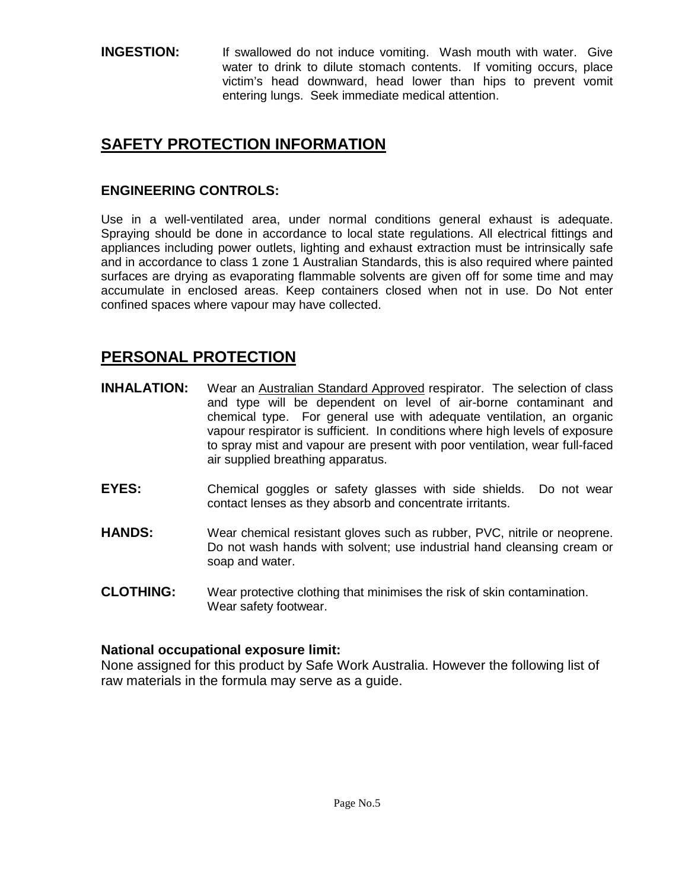#### **INGESTION:** If swallowed do not induce vomiting. Wash mouth with water. Give water to drink to dilute stomach contents. If vomiting occurs, place victim's head downward, head lower than hips to prevent vomit entering lungs. Seek immediate medical attention.

## **SAFETY PROTECTION INFORMATION**

#### **ENGINEERING CONTROLS:**

Use in a well-ventilated area, under normal conditions general exhaust is adequate. Spraying should be done in accordance to local state regulations. All electrical fittings and appliances including power outlets, lighting and exhaust extraction must be intrinsically safe and in accordance to class 1 zone 1 Australian Standards, this is also required where painted surfaces are drying as evaporating flammable solvents are given off for some time and may accumulate in enclosed areas. Keep containers closed when not in use. Do Not enter confined spaces where vapour may have collected.

## **PERSONAL PROTECTION**

- **INHALATION:** Wear an Australian Standard Approved respirator. The selection of class and type will be dependent on level of air-borne contaminant and chemical type. For general use with adequate ventilation, an organic vapour respirator is sufficient. In conditions where high levels of exposure to spray mist and vapour are present with poor ventilation, wear full-faced air supplied breathing apparatus.
- **EYES:** Chemical goggles or safety glasses with side shields. Do not wear contact lenses as they absorb and concentrate irritants.
- **HANDS:** Wear chemical resistant gloves such as rubber, PVC, nitrile or neoprene. Do not wash hands with solvent; use industrial hand cleansing cream or soap and water.
- **CLOTHING:** Wear protective clothing that minimises the risk of skin contamination. Wear safety footwear.

#### **National occupational exposure limit:**

None assigned for this product by Safe Work Australia. However the following list of raw materials in the formula may serve as a guide.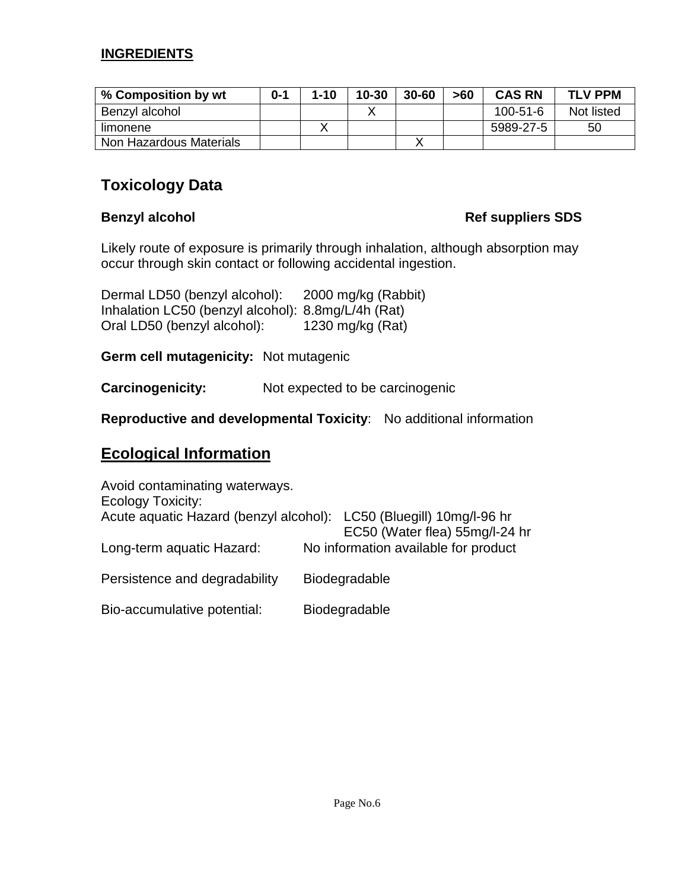#### **INGREDIENTS**

| % Composition by wt     | $n - 1$ | $1 - 10$ | $10 - 30$ | $30 - 60$ | >60 | <b>CAS RN</b>  | <b>TLV PPM</b> |
|-------------------------|---------|----------|-----------|-----------|-----|----------------|----------------|
| Benzyl alcohol          |         |          |           |           |     | $100 - 51 - 6$ | Not listed     |
| limonene                |         |          |           |           |     | 5989-27-5      | 50             |
| Non Hazardous Materials |         |          |           |           |     |                |                |

## **Toxicology Data**

#### **Benzyl alcohol Ref suppliers SDS**

Likely route of exposure is primarily through inhalation, although absorption may occur through skin contact or following accidental ingestion.

| Dermal LD50 (benzyl alcohol):                      | 2000 mg/kg (Rabbit) |
|----------------------------------------------------|---------------------|
| Inhalation LC50 (benzyl alcohol): 8.8mg/L/4h (Rat) |                     |
| Oral LD50 (benzyl alcohol):                        | 1230 mg/kg $(Rat)$  |

**Germ cell mutagenicity:** Not mutagenic

**Carcinogenicity:** Not expected to be carcinogenic

**Reproductive and developmental Toxicity**: No additional information

## **Ecological Information**

| Avoid contaminating waterways.<br>Ecology Toxicity: |                                                                |
|-----------------------------------------------------|----------------------------------------------------------------|
| Acute aquatic Hazard (benzyl alcohol):              | LC50 (Bluegill) 10mg/l-96 hr<br>EC50 (Water flea) 55mg/l-24 hr |
| Long-term aquatic Hazard:                           | No information available for product                           |
| Persistence and degradability                       | Biodegradable                                                  |
| Bio-accumulative potential:                         | <b>Biodegradable</b>                                           |